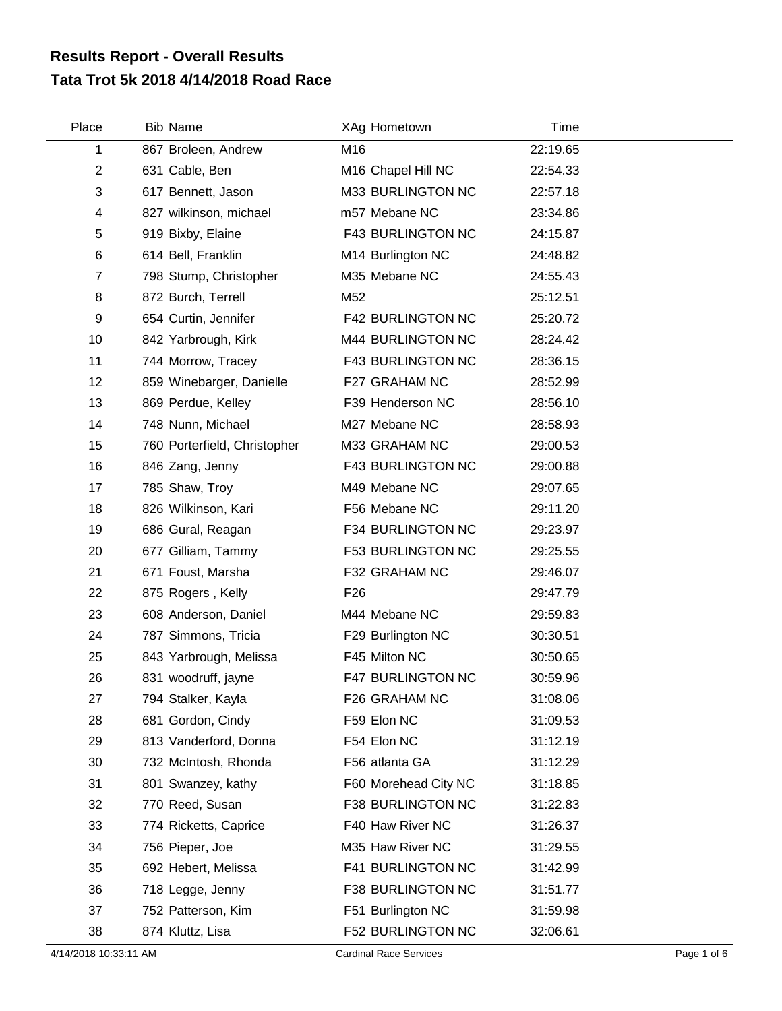## **Tata Trot 5k 2018 4/14/2018 Road Race Results Report - Overall Results**

| Place                   | <b>Bib Name</b>              | XAg Hometown                   | <b>Time</b> |  |
|-------------------------|------------------------------|--------------------------------|-------------|--|
| 1                       | 867 Broleen, Andrew          | M16                            | 22:19.65    |  |
| $\overline{2}$          | 631 Cable, Ben               | M <sub>16</sub> Chapel Hill NC | 22:54.33    |  |
| 3                       | 617 Bennett, Jason           | M33 BURLINGTON NC              | 22:57.18    |  |
| $\overline{\mathbf{4}}$ | 827 wilkinson, michael       | m57 Mebane NC                  | 23:34.86    |  |
| 5                       | 919 Bixby, Elaine            | F43 BURLINGTON NC              | 24:15.87    |  |
| $\,6$                   | 614 Bell, Franklin           | M14 Burlington NC              | 24:48.82    |  |
| $\overline{7}$          | 798 Stump, Christopher       | M35 Mebane NC                  | 24:55.43    |  |
| 8                       | 872 Burch, Terrell           | M52                            | 25:12.51    |  |
| 9                       | 654 Curtin, Jennifer         | <b>F42 BURLINGTON NC</b>       | 25:20.72    |  |
| 10                      | 842 Yarbrough, Kirk          | M44 BURLINGTON NC              | 28:24.42    |  |
| 11                      | 744 Morrow, Tracey           | F43 BURLINGTON NC              | 28:36.15    |  |
| 12                      | 859 Winebarger, Danielle     | F27 GRAHAM NC                  | 28:52.99    |  |
| 13                      | 869 Perdue, Kelley           | F39 Henderson NC               | 28:56.10    |  |
| 14                      | 748 Nunn, Michael            | M27 Mebane NC                  | 28:58.93    |  |
| 15                      | 760 Porterfield, Christopher | M33 GRAHAM NC                  | 29:00.53    |  |
| 16                      | 846 Zang, Jenny              | F43 BURLINGTON NC              | 29:00.88    |  |
| 17                      | 785 Shaw, Troy               | M49 Mebane NC                  | 29:07.65    |  |
| 18                      | 826 Wilkinson, Kari          | F56 Mebane NC                  | 29:11.20    |  |
| 19                      | 686 Gural, Reagan            | F34 BURLINGTON NC              | 29:23.97    |  |
| 20                      | 677 Gilliam, Tammy           | F53 BURLINGTON NC              | 29:25.55    |  |
| 21                      | 671 Foust, Marsha            | F32 GRAHAM NC                  | 29:46.07    |  |
| 22                      | 875 Rogers, Kelly            | F <sub>26</sub>                | 29:47.79    |  |
| 23                      | 608 Anderson, Daniel         | M44 Mebane NC                  | 29:59.83    |  |
| 24                      | 787 Simmons, Tricia          | F29 Burlington NC              | 30:30.51    |  |
| 25                      | 843 Yarbrough, Melissa       | F45 Milton NC                  | 30:50.65    |  |
| 26                      | 831 woodruff, jayne          | <b>F47 BURLINGTON NC</b>       | 30:59.96    |  |
| 27                      | 794 Stalker, Kayla           | F26 GRAHAM NC                  | 31:08.06    |  |
| 28                      | 681 Gordon, Cindy            | F59 Elon NC                    | 31:09.53    |  |
| 29                      | 813 Vanderford, Donna        | F54 Elon NC                    | 31:12.19    |  |
| 30                      | 732 McIntosh, Rhonda         | F56 atlanta GA                 | 31:12.29    |  |
| 31                      | 801 Swanzey, kathy           | F60 Morehead City NC           | 31:18.85    |  |
| 32                      | 770 Reed, Susan              | F38 BURLINGTON NC              | 31:22.83    |  |
| 33                      | 774 Ricketts, Caprice        | F40 Haw River NC               | 31:26.37    |  |
| 34                      | 756 Pieper, Joe              | M35 Haw River NC               | 31:29.55    |  |
| 35                      | 692 Hebert, Melissa          | F41 BURLINGTON NC              | 31:42.99    |  |
| 36                      | 718 Legge, Jenny             | F38 BURLINGTON NC              | 31:51.77    |  |
| 37                      | 752 Patterson, Kim           | F51 Burlington NC              | 31:59.98    |  |
| 38                      | 874 Kluttz, Lisa             | F52 BURLINGTON NC              | 32:06.61    |  |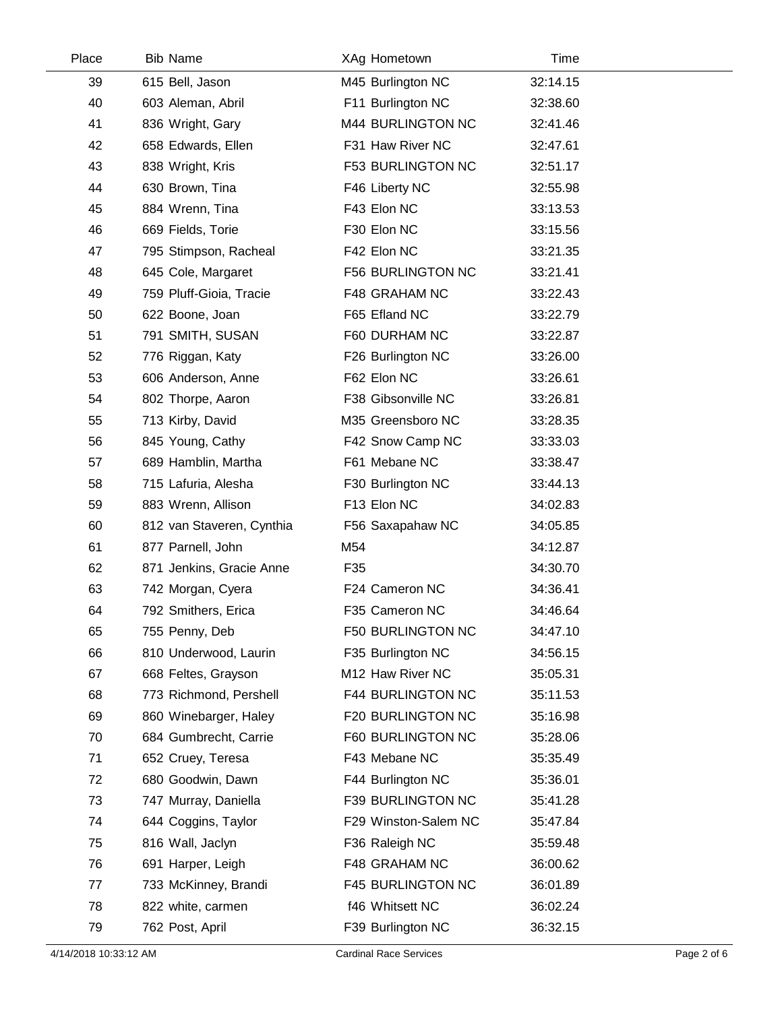| Place | <b>Bib Name</b>           | XAg Hometown             | Time     |  |
|-------|---------------------------|--------------------------|----------|--|
| 39    | 615 Bell, Jason           | M45 Burlington NC        | 32:14.15 |  |
| 40    | 603 Aleman, Abril         | F11 Burlington NC        | 32:38.60 |  |
| 41    | 836 Wright, Gary          | M44 BURLINGTON NC        | 32:41.46 |  |
| 42    | 658 Edwards, Ellen        | F31 Haw River NC         | 32:47.61 |  |
| 43    | 838 Wright, Kris          | <b>F53 BURLINGTON NC</b> | 32:51.17 |  |
| 44    | 630 Brown, Tina           | F46 Liberty NC           | 32:55.98 |  |
| 45    | 884 Wrenn, Tina           | F43 Elon NC              | 33:13.53 |  |
| 46    | 669 Fields, Torie         | F30 Elon NC              | 33:15.56 |  |
| 47    | 795 Stimpson, Racheal     | F42 Elon NC              | 33:21.35 |  |
| 48    | 645 Cole, Margaret        | F56 BURLINGTON NC        | 33:21.41 |  |
| 49    | 759 Pluff-Gioia, Tracie   | F48 GRAHAM NC            | 33:22.43 |  |
| 50    | 622 Boone, Joan           | F65 Efland NC            | 33:22.79 |  |
| 51    | 791 SMITH, SUSAN          | F60 DURHAM NC            | 33:22.87 |  |
| 52    | 776 Riggan, Katy          | F26 Burlington NC        | 33:26.00 |  |
| 53    | 606 Anderson, Anne        | F62 Elon NC              | 33:26.61 |  |
| 54    | 802 Thorpe, Aaron         | F38 Gibsonville NC       | 33:26.81 |  |
| 55    | 713 Kirby, David          | M35 Greensboro NC        | 33:28.35 |  |
| 56    | 845 Young, Cathy          | F42 Snow Camp NC         | 33:33.03 |  |
| 57    | 689 Hamblin, Martha       | F61 Mebane NC            | 33:38.47 |  |
| 58    | 715 Lafuria, Alesha       | F30 Burlington NC        | 33:44.13 |  |
| 59    | 883 Wrenn, Allison        | F13 Elon NC              | 34:02.83 |  |
| 60    | 812 van Staveren, Cynthia | F56 Saxapahaw NC         | 34:05.85 |  |
| 61    | 877 Parnell, John         | M54                      | 34:12.87 |  |
| 62    | 871 Jenkins, Gracie Anne  | F35                      | 34:30.70 |  |
| 63    | 742 Morgan, Cyera         | F24 Cameron NC           | 34:36.41 |  |
| 64    | 792 Smithers, Erica       | F35 Cameron NC           | 34:46.64 |  |
| 65    | 755 Penny, Deb            | F50 BURLINGTON NC        | 34:47.10 |  |
| 66    | 810 Underwood, Laurin     | F35 Burlington NC        | 34:56.15 |  |
| 67    | 668 Feltes, Grayson       | M12 Haw River NC         | 35:05.31 |  |
| 68    | 773 Richmond, Pershell    | F44 BURLINGTON NC        | 35:11.53 |  |
| 69    | 860 Winebarger, Haley     | F20 BURLINGTON NC        | 35:16.98 |  |
| 70    | 684 Gumbrecht, Carrie     | F60 BURLINGTON NC        | 35:28.06 |  |
| 71    | 652 Cruey, Teresa         | F43 Mebane NC            | 35:35.49 |  |
| 72    | 680 Goodwin, Dawn         | F44 Burlington NC        | 35:36.01 |  |
| 73    | 747 Murray, Daniella      | F39 BURLINGTON NC        | 35:41.28 |  |
| 74    | 644 Coggins, Taylor       | F29 Winston-Salem NC     | 35:47.84 |  |
| 75    | 816 Wall, Jaclyn          | F36 Raleigh NC           | 35:59.48 |  |
| 76    | 691 Harper, Leigh         | F48 GRAHAM NC            | 36:00.62 |  |
| 77    | 733 McKinney, Brandi      | F45 BURLINGTON NC        | 36:01.89 |  |
| 78    | 822 white, carmen         | f46 Whitsett NC          | 36:02.24 |  |
| 79    | 762 Post, April           | F39 Burlington NC        | 36:32.15 |  |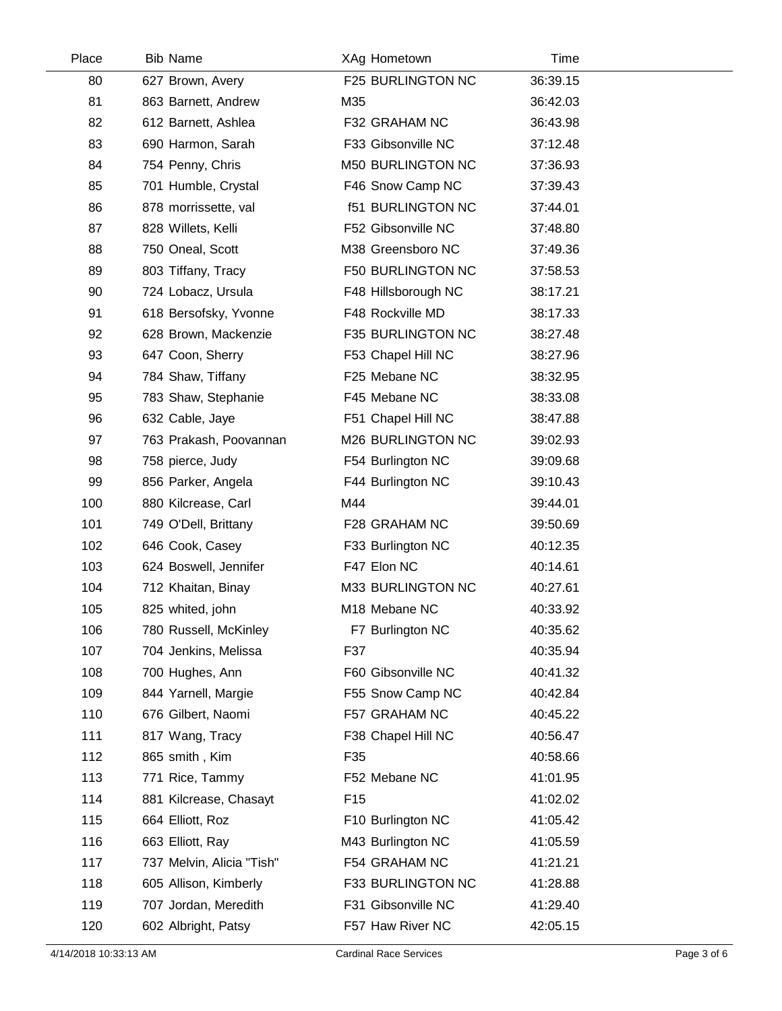| Place | <b>Bib Name</b>           | XAg Hometown             | Time     |
|-------|---------------------------|--------------------------|----------|
| 80    | 627 Brown, Avery          | F25 BURLINGTON NC        | 36:39.15 |
| 81    | 863 Barnett, Andrew       | M35                      | 36:42.03 |
| 82    | 612 Barnett, Ashlea       | F32 GRAHAM NC            | 36:43.98 |
| 83    | 690 Harmon, Sarah         | F33 Gibsonville NC       | 37:12.48 |
| 84    | 754 Penny, Chris          | <b>M50 BURLINGTON NC</b> | 37:36.93 |
| 85    | 701 Humble, Crystal       | F46 Snow Camp NC         | 37:39.43 |
| 86    | 878 morrissette, val      | <b>f51 BURLINGTON NC</b> | 37:44.01 |
| 87    | 828 Willets, Kelli        | F52 Gibsonville NC       | 37:48.80 |
| 88    | 750 Oneal, Scott          | M38 Greensboro NC        | 37:49.36 |
| 89    | 803 Tiffany, Tracy        | F50 BURLINGTON NC        | 37:58.53 |
| 90    | 724 Lobacz, Ursula        | F48 Hillsborough NC      | 38:17.21 |
| 91    | 618 Bersofsky, Yvonne     | F48 Rockville MD         | 38:17.33 |
| 92    | 628 Brown, Mackenzie      | F35 BURLINGTON NC        | 38:27.48 |
| 93    | 647 Coon, Sherry          | F53 Chapel Hill NC       | 38:27.96 |
| 94    | 784 Shaw, Tiffany         | F25 Mebane NC            | 38:32.95 |
| 95    | 783 Shaw, Stephanie       | F45 Mebane NC            | 38:33.08 |
| 96    | 632 Cable, Jaye           | F51 Chapel Hill NC       | 38:47.88 |
| 97    | 763 Prakash, Poovannan    | M26 BURLINGTON NC        | 39:02.93 |
| 98    | 758 pierce, Judy          | F54 Burlington NC        | 39:09.68 |
| 99    | 856 Parker, Angela        | F44 Burlington NC        | 39:10.43 |
| 100   | 880 Kilcrease, Carl       | M44                      | 39:44.01 |
| 101   | 749 O'Dell, Brittany      | F28 GRAHAM NC            | 39:50.69 |
| 102   | 646 Cook, Casey           | F33 Burlington NC        | 40:12.35 |
| 103   | 624 Boswell, Jennifer     | F47 Elon NC              | 40:14.61 |
| 104   | 712 Khaitan, Binay        | M33 BURLINGTON NC        | 40:27.61 |
| 105   | 825 whited, john          | M18 Mebane NC            | 40:33.92 |
| 106   | 780 Russell, McKinley     | F7 Burlington NC         | 40:35.62 |
| 107   | 704 Jenkins, Melissa      | F37                      | 40:35.94 |
| 108   | 700 Hughes, Ann           | F60 Gibsonville NC       | 40:41.32 |
| 109   | 844 Yarnell, Margie       | F55 Snow Camp NC         | 40:42.84 |
| 110   | 676 Gilbert, Naomi        | F57 GRAHAM NC            | 40:45.22 |
| 111   | 817 Wang, Tracy           | F38 Chapel Hill NC       | 40:56.47 |
| 112   | 865 smith, Kim            | F35                      | 40:58.66 |
| 113   | 771 Rice, Tammy           | F52 Mebane NC            | 41:01.95 |
| 114   | 881 Kilcrease, Chasayt    | F <sub>15</sub>          | 41:02.02 |
| 115   | 664 Elliott, Roz          | F10 Burlington NC        | 41:05.42 |
| 116   | 663 Elliott, Ray          | M43 Burlington NC        | 41:05.59 |
| 117   | 737 Melvin, Alicia "Tish" | F54 GRAHAM NC            | 41:21.21 |
| 118   | 605 Allison, Kimberly     | F33 BURLINGTON NC        | 41:28.88 |
| 119   | 707 Jordan, Meredith      | F31 Gibsonville NC       | 41:29.40 |
| 120   | 602 Albright, Patsy       | F57 Haw River NC         | 42:05.15 |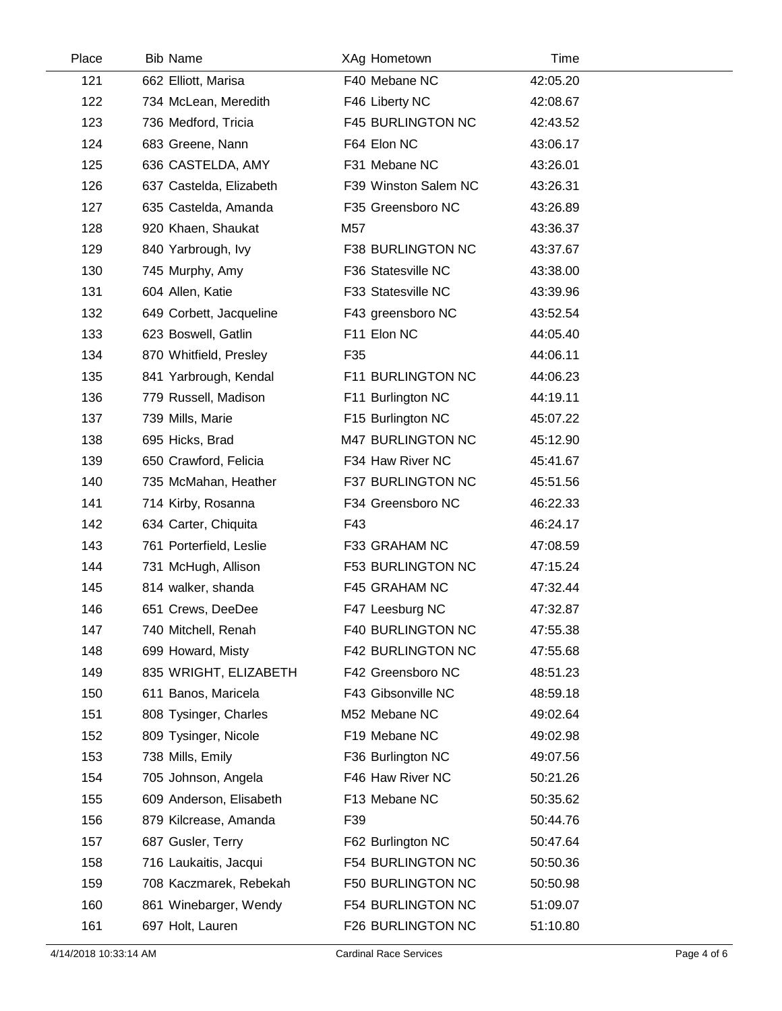| Place | <b>Bib Name</b>         | XAg Hometown             | Time     |  |
|-------|-------------------------|--------------------------|----------|--|
| 121   | 662 Elliott, Marisa     | F40 Mebane NC            | 42:05.20 |  |
| 122   | 734 McLean, Meredith    | F46 Liberty NC           | 42:08.67 |  |
| 123   | 736 Medford, Tricia     | <b>F45 BURLINGTON NC</b> | 42:43.52 |  |
| 124   | 683 Greene, Nann        | F64 Elon NC              | 43:06.17 |  |
| 125   | 636 CASTELDA, AMY       | F31 Mebane NC            | 43:26.01 |  |
| 126   | 637 Castelda, Elizabeth | F39 Winston Salem NC     | 43:26.31 |  |
| 127   | 635 Castelda, Amanda    | F35 Greensboro NC        | 43:26.89 |  |
| 128   | 920 Khaen, Shaukat      | M57                      | 43:36.37 |  |
| 129   | 840 Yarbrough, Ivy      | F38 BURLINGTON NC        | 43:37.67 |  |
| 130   | 745 Murphy, Amy         | F36 Statesville NC       | 43:38.00 |  |
| 131   | 604 Allen, Katie        | F33 Statesville NC       | 43:39.96 |  |
| 132   | 649 Corbett, Jacqueline | F43 greensboro NC        | 43:52.54 |  |
| 133   | 623 Boswell, Gatlin     | F11 Elon NC              | 44:05.40 |  |
| 134   | 870 Whitfield, Presley  | F35                      | 44:06.11 |  |
| 135   | 841 Yarbrough, Kendal   | F11 BURLINGTON NC        | 44:06.23 |  |
| 136   | 779 Russell, Madison    | F11 Burlington NC        | 44:19.11 |  |
| 137   | 739 Mills, Marie        | F15 Burlington NC        | 45:07.22 |  |
| 138   | 695 Hicks, Brad         | M47 BURLINGTON NC        | 45:12.90 |  |
| 139   | 650 Crawford, Felicia   | F34 Haw River NC         | 45:41.67 |  |
| 140   | 735 McMahan, Heather    | F37 BURLINGTON NC        | 45:51.56 |  |
| 141   | 714 Kirby, Rosanna      | F34 Greensboro NC        | 46:22.33 |  |
| 142   | 634 Carter, Chiquita    | F43                      | 46:24.17 |  |
| 143   | 761 Porterfield, Leslie | F33 GRAHAM NC            | 47:08.59 |  |
| 144   | 731 McHugh, Allison     | <b>F53 BURLINGTON NC</b> | 47:15.24 |  |
| 145   | 814 walker, shanda      | F45 GRAHAM NC            | 47:32.44 |  |
| 146   | 651 Crews, DeeDee       | F47 Leesburg NC          | 47:32.87 |  |
| 147   | 740 Mitchell, Renah     | F40 BURLINGTON NC        | 47:55.38 |  |
| 148   | 699 Howard, Misty       | F42 BURLINGTON NC        | 47:55.68 |  |
| 149   | 835 WRIGHT, ELIZABETH   | F42 Greensboro NC        | 48:51.23 |  |
| 150   | 611 Banos, Maricela     | F43 Gibsonville NC       | 48:59.18 |  |
| 151   | 808 Tysinger, Charles   | M52 Mebane NC            | 49:02.64 |  |
| 152   | 809 Tysinger, Nicole    | F19 Mebane NC            | 49:02.98 |  |
| 153   | 738 Mills, Emily        | F36 Burlington NC        | 49:07.56 |  |
| 154   | 705 Johnson, Angela     | F46 Haw River NC         | 50:21.26 |  |
| 155   | 609 Anderson, Elisabeth | F13 Mebane NC            | 50:35.62 |  |
| 156   | 879 Kilcrease, Amanda   | F39                      | 50:44.76 |  |
| 157   | 687 Gusler, Terry       | F62 Burlington NC        | 50:47.64 |  |
| 158   | 716 Laukaitis, Jacqui   | F54 BURLINGTON NC        | 50:50.36 |  |
| 159   | 708 Kaczmarek, Rebekah  | F50 BURLINGTON NC        | 50:50.98 |  |
| 160   | 861 Winebarger, Wendy   | F54 BURLINGTON NC        | 51:09.07 |  |
| 161   | 697 Holt, Lauren        | F26 BURLINGTON NC        | 51:10.80 |  |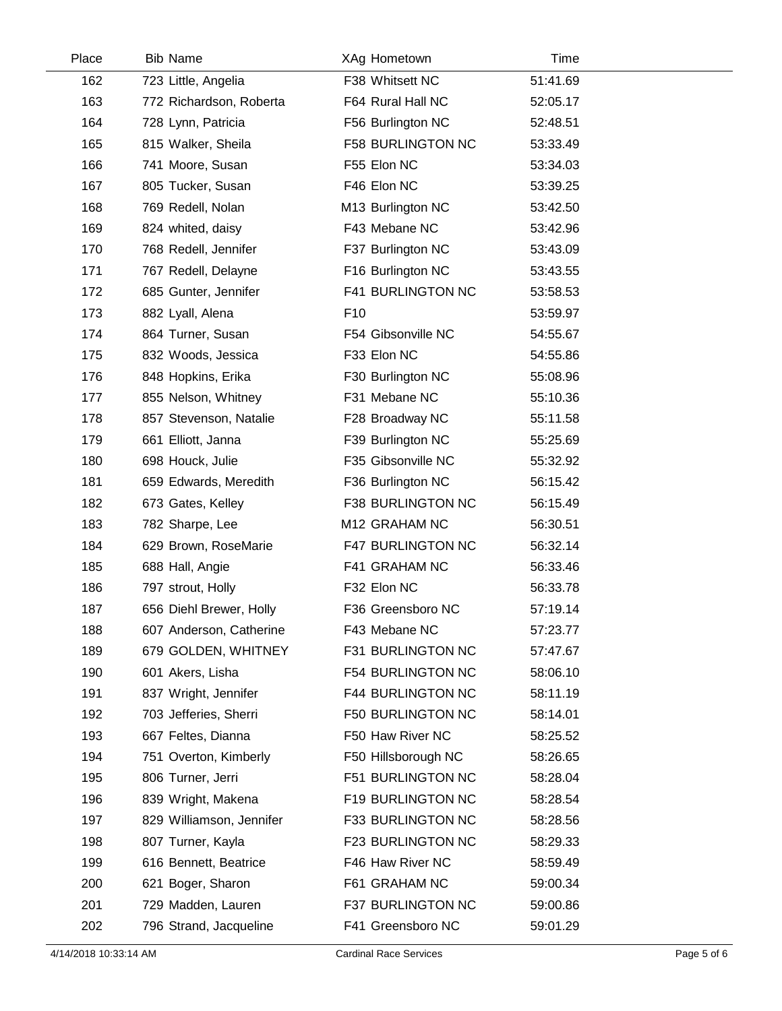| Place | <b>Bib Name</b>          | XAg Hometown             | Time     |  |
|-------|--------------------------|--------------------------|----------|--|
| 162   | 723 Little, Angelia      | F38 Whitsett NC          | 51:41.69 |  |
| 163   | 772 Richardson, Roberta  | F64 Rural Hall NC        | 52:05.17 |  |
| 164   | 728 Lynn, Patricia       | F56 Burlington NC        | 52:48.51 |  |
| 165   | 815 Walker, Sheila       | <b>F58 BURLINGTON NC</b> | 53:33.49 |  |
| 166   | 741 Moore, Susan         | F55 Elon NC              | 53:34.03 |  |
| 167   | 805 Tucker, Susan        | F46 Elon NC              | 53:39.25 |  |
| 168   | 769 Redell, Nolan        | M13 Burlington NC        | 53:42.50 |  |
| 169   | 824 whited, daisy        | F43 Mebane NC            | 53:42.96 |  |
| 170   | 768 Redell, Jennifer     | F37 Burlington NC        | 53:43.09 |  |
| 171   | 767 Redell, Delayne      | F16 Burlington NC        | 53:43.55 |  |
| 172   | 685 Gunter, Jennifer     | F41 BURLINGTON NC        | 53:58.53 |  |
| 173   | 882 Lyall, Alena         | F <sub>10</sub>          | 53:59.97 |  |
| 174   | 864 Turner, Susan        | F54 Gibsonville NC       | 54:55.67 |  |
| 175   | 832 Woods, Jessica       | F33 Elon NC              | 54:55.86 |  |
| 176   | 848 Hopkins, Erika       | F30 Burlington NC        | 55:08.96 |  |
| 177   | 855 Nelson, Whitney      | F31 Mebane NC            | 55:10.36 |  |
| 178   | 857 Stevenson, Natalie   | F28 Broadway NC          | 55:11.58 |  |
| 179   | 661 Elliott, Janna       | F39 Burlington NC        | 55:25.69 |  |
| 180   | 698 Houck, Julie         | F35 Gibsonville NC       | 55:32.92 |  |
| 181   | 659 Edwards, Meredith    | F36 Burlington NC        | 56:15.42 |  |
| 182   | 673 Gates, Kelley        | F38 BURLINGTON NC        | 56:15.49 |  |
| 183   | 782 Sharpe, Lee          | M12 GRAHAM NC            | 56:30.51 |  |
| 184   | 629 Brown, RoseMarie     | F47 BURLINGTON NC        | 56:32.14 |  |
| 185   | 688 Hall, Angie          | F41 GRAHAM NC            | 56:33.46 |  |
| 186   | 797 strout, Holly        | F32 Elon NC              | 56:33.78 |  |
| 187   | 656 Diehl Brewer, Holly  | F36 Greensboro NC        | 57:19.14 |  |
| 188   | 607 Anderson, Catherine  | F43 Mebane NC            | 57:23.77 |  |
| 189   | 679 GOLDEN, WHITNEY      | F31 BURLINGTON NC        | 57:47.67 |  |
| 190   | 601 Akers, Lisha         | F54 BURLINGTON NC        | 58:06.10 |  |
| 191   | 837 Wright, Jennifer     | <b>F44 BURLINGTON NC</b> | 58:11.19 |  |
| 192   | 703 Jefferies, Sherri    | F50 BURLINGTON NC        | 58:14.01 |  |
| 193   | 667 Feltes, Dianna       | F50 Haw River NC         | 58:25.52 |  |
| 194   | 751 Overton, Kimberly    | F50 Hillsborough NC      | 58:26.65 |  |
| 195   | 806 Turner, Jerri        | F51 BURLINGTON NC        | 58:28.04 |  |
| 196   | 839 Wright, Makena       | F19 BURLINGTON NC        | 58:28.54 |  |
| 197   | 829 Williamson, Jennifer | F33 BURLINGTON NC        | 58:28.56 |  |
| 198   | 807 Turner, Kayla        | F23 BURLINGTON NC        | 58:29.33 |  |
| 199   | 616 Bennett, Beatrice    | F46 Haw River NC         | 58:59.49 |  |
| 200   | 621 Boger, Sharon        | F61 GRAHAM NC            | 59:00.34 |  |
| 201   | 729 Madden, Lauren       | F37 BURLINGTON NC        | 59:00.86 |  |
| 202   | 796 Strand, Jacqueline   | F41 Greensboro NC        | 59:01.29 |  |